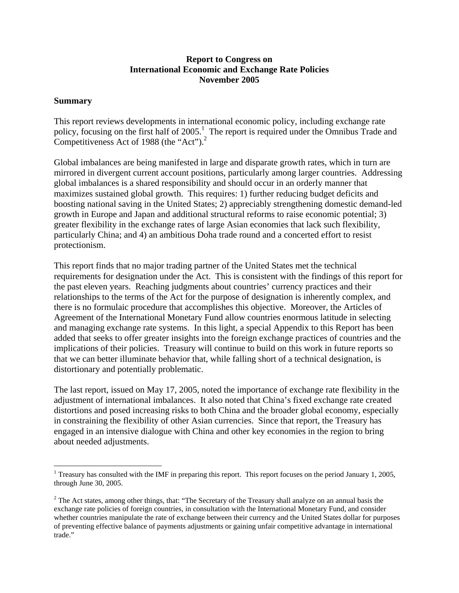### **Report to Congress on International Economic and Exchange Rate Policies November 2005**

#### **Summary**

 $\overline{a}$ 

This report reviews developments in international economic policy, including exchange rate policy, focusing on the first half of 2005.<sup>1</sup> The report is required under the Omnibus Trade and Competitiveness Act of 1988 (the "Act").<sup>2</sup>

Global imbalances are being manifested in large and disparate growth rates, which in turn are mirrored in divergent current account positions, particularly among larger countries. Addressing global imbalances is a shared responsibility and should occur in an orderly manner that maximizes sustained global growth. This requires: 1) further reducing budget deficits and boosting national saving in the United States; 2) appreciably strengthening domestic demand-led growth in Europe and Japan and additional structural reforms to raise economic potential; 3) greater flexibility in the exchange rates of large Asian economies that lack such flexibility, particularly China; and 4) an ambitious Doha trade round and a concerted effort to resist protectionism.

This report finds that no major trading partner of the United States met the technical requirements for designation under the Act. This is consistent with the findings of this report for the past eleven years. Reaching judgments about countries' currency practices and their relationships to the terms of the Act for the purpose of designation is inherently complex, and there is no formulaic procedure that accomplishes this objective. Moreover, the Articles of Agreement of the International Monetary Fund allow countries enormous latitude in selecting and managing exchange rate systems. In this light, a special Appendix to this Report has been added that seeks to offer greater insights into the foreign exchange practices of countries and the implications of their policies. Treasury will continue to build on this work in future reports so that we can better illuminate behavior that, while falling short of a technical designation, is distortionary and potentially problematic.

The last report, issued on May 17, 2005, noted the importance of exchange rate flexibility in the adjustment of international imbalances. It also noted that China's fixed exchange rate created distortions and posed increasing risks to both China and the broader global economy, especially in constraining the flexibility of other Asian currencies. Since that report, the Treasury has engaged in an intensive dialogue with China and other key economies in the region to bring about needed adjustments.

<sup>&</sup>lt;sup>1</sup> Treasury has consulted with the IMF in preparing this report. This report focuses on the period January 1, 2005, through June 30, 2005.

 $2^2$  The Act states, among other things, that: "The Secretary of the Treasury shall analyze on an annual basis the exchange rate policies of foreign countries, in consultation with the International Monetary Fund, and consider whether countries manipulate the rate of exchange between their currency and the United States dollar for purposes of preventing effective balance of payments adjustments or gaining unfair competitive advantage in international trade."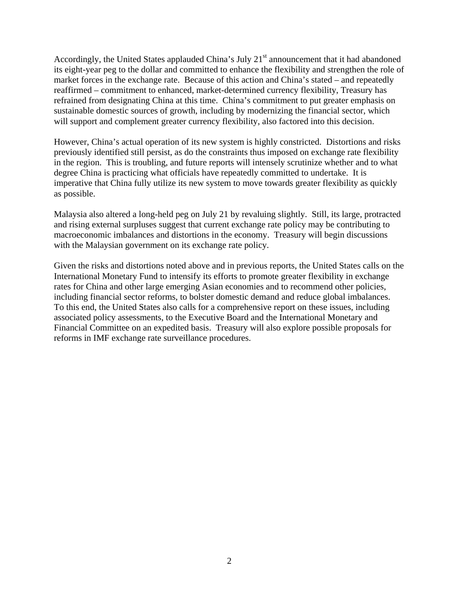Accordingly, the United States applauded China's July  $21<sup>st</sup>$  announcement that it had abandoned its eight-year peg to the dollar and committed to enhance the flexibility and strengthen the role of market forces in the exchange rate. Because of this action and China's stated – and repeatedly reaffirmed – commitment to enhanced, market-determined currency flexibility, Treasury has refrained from designating China at this time. China's commitment to put greater emphasis on sustainable domestic sources of growth, including by modernizing the financial sector, which will support and complement greater currency flexibility, also factored into this decision.

However, China's actual operation of its new system is highly constricted. Distortions and risks previously identified still persist, as do the constraints thus imposed on exchange rate flexibility in the region. This is troubling, and future reports will intensely scrutinize whether and to what degree China is practicing what officials have repeatedly committed to undertake. It is imperative that China fully utilize its new system to move towards greater flexibility as quickly as possible.

Malaysia also altered a long-held peg on July 21 by revaluing slightly. Still, its large, protracted and rising external surpluses suggest that current exchange rate policy may be contributing to macroeconomic imbalances and distortions in the economy. Treasury will begin discussions with the Malaysian government on its exchange rate policy.

Given the risks and distortions noted above and in previous reports, the United States calls on the International Monetary Fund to intensify its efforts to promote greater flexibility in exchange rates for China and other large emerging Asian economies and to recommend other policies, including financial sector reforms, to bolster domestic demand and reduce global imbalances. To this end, the United States also calls for a comprehensive report on these issues, including associated policy assessments, to the Executive Board and the International Monetary and Financial Committee on an expedited basis. Treasury will also explore possible proposals for reforms in IMF exchange rate surveillance procedures.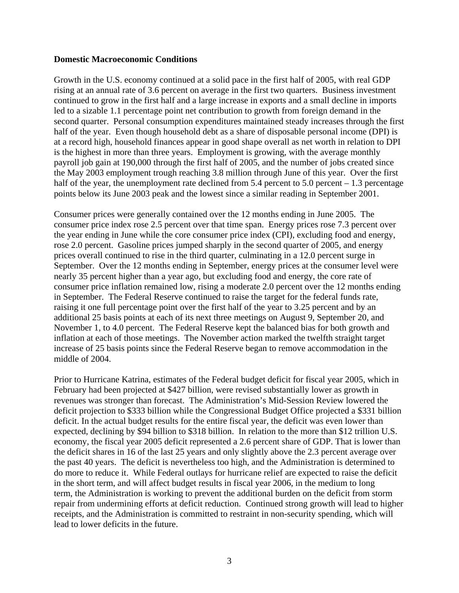#### **Domestic Macroeconomic Conditions**

Growth in the U.S. economy continued at a solid pace in the first half of 2005, with real GDP rising at an annual rate of 3.6 percent on average in the first two quarters. Business investment continued to grow in the first half and a large increase in exports and a small decline in imports led to a sizable 1.1 percentage point net contribution to growth from foreign demand in the second quarter. Personal consumption expenditures maintained steady increases through the first half of the year. Even though household debt as a share of disposable personal income (DPI) is at a record high, household finances appear in good shape overall as net worth in relation to DPI is the highest in more than three years. Employment is growing, with the average monthly payroll job gain at 190,000 through the first half of 2005, and the number of jobs created since the May 2003 employment trough reaching 3.8 million through June of this year. Over the first half of the year, the unemployment rate declined from  $5.4$  percent to  $5.0$  percent  $-1.3$  percentage points below its June 2003 peak and the lowest since a similar reading in September 2001.

Consumer prices were generally contained over the 12 months ending in June 2005. The consumer price index rose 2.5 percent over that time span. Energy prices rose 7.3 percent over the year ending in June while the core consumer price index (CPI), excluding food and energy, rose 2.0 percent. Gasoline prices jumped sharply in the second quarter of 2005, and energy prices overall continued to rise in the third quarter, culminating in a 12.0 percent surge in September. Over the 12 months ending in September, energy prices at the consumer level were nearly 35 percent higher than a year ago, but excluding food and energy, the core rate of consumer price inflation remained low, rising a moderate 2.0 percent over the 12 months ending in September. The Federal Reserve continued to raise the target for the federal funds rate, raising it one full percentage point over the first half of the year to 3.25 percent and by an additional 25 basis points at each of its next three meetings on August 9, September 20, and November 1, to 4.0 percent. The Federal Reserve kept the balanced bias for both growth and inflation at each of those meetings. The November action marked the twelfth straight target increase of 25 basis points since the Federal Reserve began to remove accommodation in the middle of 2004.

Prior to Hurricane Katrina, estimates of the Federal budget deficit for fiscal year 2005, which in February had been projected at \$427 billion, were revised substantially lower as growth in revenues was stronger than forecast. The Administration's Mid-Session Review lowered the deficit projection to \$333 billion while the Congressional Budget Office projected a \$331 billion deficit. In the actual budget results for the entire fiscal year, the deficit was even lower than expected, declining by \$94 billion to \$318 billion. In relation to the more than \$12 trillion U.S. economy, the fiscal year 2005 deficit represented a 2.6 percent share of GDP. That is lower than the deficit shares in 16 of the last 25 years and only slightly above the 2.3 percent average over the past 40 years. The deficit is nevertheless too high, and the Administration is determined to do more to reduce it. While Federal outlays for hurricane relief are expected to raise the deficit in the short term, and will affect budget results in fiscal year 2006, in the medium to long term, the Administration is working to prevent the additional burden on the deficit from storm repair from undermining efforts at deficit reduction. Continued strong growth will lead to higher receipts, and the Administration is committed to restraint in non-security spending, which will lead to lower deficits in the future.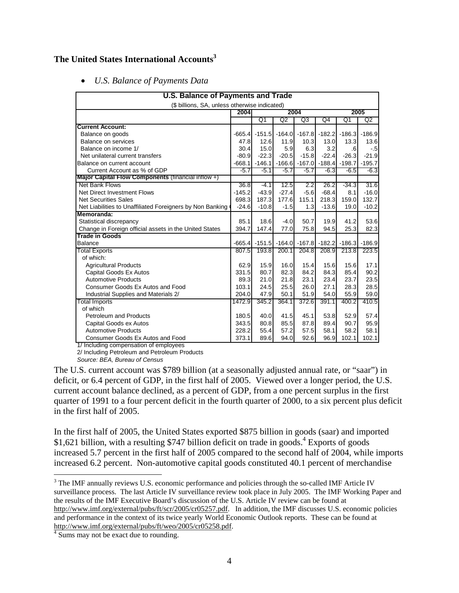# **The United States International Accounts3**

• *U.S. Balance of Payments Data* 

| U.S. Balance of Payments and Trade                        |          |          |         |                            |                                     |          |          |  |  |  |
|-----------------------------------------------------------|----------|----------|---------|----------------------------|-------------------------------------|----------|----------|--|--|--|
| (\$ billions, SA, unless otherwise indicated)             |          |          |         |                            |                                     |          |          |  |  |  |
|                                                           | 2004     | 2004     |         |                            |                                     |          | 2005     |  |  |  |
|                                                           |          | Q1       | Q2      | Q3                         | Q4                                  | Q1       | Q2       |  |  |  |
| <b>Current Account:</b>                                   |          |          |         |                            |                                     |          |          |  |  |  |
| Balance on goods                                          | $-665.4$ |          |         | $-151.5$ $-164.0$ $-167.8$ | $-182.2$                            | $-186.3$ | $-186.9$ |  |  |  |
| Balance on services                                       | 47.8     | 12.6     | 11.9    | 10.3                       | 13.0                                | 13.3     | 13.6     |  |  |  |
| Balance on income 1/                                      | 30.4     | 15.0     | 5.9     | 6.3                        | 3.2                                 | .6       | $-.5$    |  |  |  |
| Net unilateral current transfers                          | $-80.9$  | $-22.3$  | $-20.5$ | $-15.8$                    | $-22.4$                             | $-26.3$  | $-21.9$  |  |  |  |
| Balance on current account                                | $-668.1$ |          |         |                            | $-146.1$ $-166.6$ $-167.0$ $-188.4$ | $-198.7$ | $-195.7$ |  |  |  |
| Current Account as % of GDP                               | $-5.7$   | $-5.1$   | $-5.7$  | $-5.7$                     | $-6.3$                              | $-6.5$   | $-6.3$   |  |  |  |
| Major Capital Flow Components (financial inflow +)        |          |          |         |                            |                                     |          |          |  |  |  |
| Net Bank Flows                                            | 36.8     | $-4.1$   | 12.5    | 2.2                        | 26.2                                | $-34.3$  | 31.6     |  |  |  |
| Net Direct Investment Flows                               | $-145.2$ | $-43.9$  | $-27.4$ | $-5.6$                     | $-68.4$                             | 8.1      | $-16.0$  |  |  |  |
| <b>Net Securities Sales</b>                               | 698.3    | 187.3    | 177.6   | 115.1                      | 218.3                               | 159.0    | 132.7    |  |  |  |
| Net Liabilities to Unaffiliated Foreigners by Non Banking | $-24.6$  | $-10.8$  | $-1.5$  | 1.3                        | $-13.6$                             | 19.0     | $-10.2$  |  |  |  |
| Memoranda:                                                |          |          |         |                            |                                     |          |          |  |  |  |
| Statistical discrepancy                                   | 85.1     | 18.6     | $-4.0$  | 50.7                       | 19.9                                | 41.2     | 53.6     |  |  |  |
| Change in Foreign official assets in the United States    | 394.7    | 147.4    | 77.0    | 75.8                       | 94.5                                | 25.3     | 82.3     |  |  |  |
| <b>Trade in Goods</b>                                     |          |          |         |                            |                                     |          |          |  |  |  |
| <b>Balance</b>                                            | $-665.4$ | $-151.5$ |         | $-164.0$ $-167.8$          | $-182.2$                            | $-186.3$ | $-186.9$ |  |  |  |
| <b>Total Exports</b>                                      | 807.5    | 193.8    | 200.1   | 204.8                      | 208.9                               | 213.8    | 223.5    |  |  |  |
| of which:                                                 |          |          |         |                            |                                     |          |          |  |  |  |
| <b>Agricultural Products</b>                              | 62.9     | 15.9     | 16.0    | 15.4                       | 15.6                                | 15.6     | 17.1     |  |  |  |
| Capital Goods Ex Autos                                    | 331.5    | 80.7     | 82.3    | 84.2                       | 84.3                                | 85.4     | 90.2     |  |  |  |
| <b>Automotive Products</b>                                | 89.3     | 21.0     | 21.8    | 23.1                       | 23.4                                | 23.7     | 23.5     |  |  |  |
| Consumer Goods Ex Autos and Food                          | 103.1    | 24.5     | 25.5    | 26.0                       | 27.1                                | 28.3     | 28.5     |  |  |  |
| Industrial Supplies and Materials 2/                      | 204.0    | 47.9     | 50.1    | 51.9                       | 54.0                                | 55.9     | 59.0     |  |  |  |
| <b>Total Imports</b>                                      | 1472.9   | 345.2    | 364.1   | 372.6                      | 391.1                               | 400.2    | 410.5    |  |  |  |
| of which                                                  |          |          |         |                            |                                     |          |          |  |  |  |
| <b>Petroleum and Products</b>                             | 180.5    | 40.0     | 41.5    | 45.1                       | 53.8                                | 52.9     | 57.4     |  |  |  |
| Capital Goods ex Autos                                    | 343.5    | 80.8     | 85.5    | 87.8                       | 89.4                                | 90.7     | 95.9     |  |  |  |
| <b>Automotive Products</b>                                | 228.2    | 55.4     | 57.2    | 57.5                       | 58.1                                | 58.2     | 58.1     |  |  |  |
| Consumer Goods Ex Autos and Food                          | 373.1    | 89.6     | 94.0    | 92.6                       | 96.9                                | 102.1    | 102.1    |  |  |  |

1/ Including compensation of employees 2/ Including Petroleum and Petroleum Products

*Source: BEA, Bureau of Census*

The U.S. current account was \$789 billion (at a seasonally adjusted annual rate, or "saar") in deficit, or 6.4 percent of GDP, in the first half of 2005. Viewed over a longer period, the U.S. current account balance declined, as a percent of GDP, from a one percent surplus in the first quarter of 1991 to a four percent deficit in the fourth quarter of 2000, to a six percent plus deficit in the first half of 2005.

In the first half of 2005, the United States exported \$875 billion in goods (saar) and imported \$1,621 billion, with a resulting \$747 billion deficit on trade in goods.<sup>4</sup> Exports of goods increased 5.7 percent in the first half of 2005 compared to the second half of 2004, while imports increased 6.2 percent. Non-automotive capital goods constituted 40.1 percent of merchandise

<sup>&</sup>lt;sup>3</sup> The IMF annually reviews U.S. economic performance and policies through the so-called IMF Article IV surveillance process. The last Article IV surveillance review took place in July 2005. The IMF Working Paper and the results of the IMF Executive Board's discussion of the U.S. Article IV review can be found at http://www.imf.org/external/pubs/ft/scr/2005/cr05257.pdf. In addition, the IMF discusses U.S. economic policies and performance in the context of its twice yearly World Economic Outlook reports. These can be found at http://www.imf.org/external/pubs/ft/weo/2005/cr05258.pdf.

<sup>&</sup>lt;sup>4</sup> Sums may not be exact due to rounding.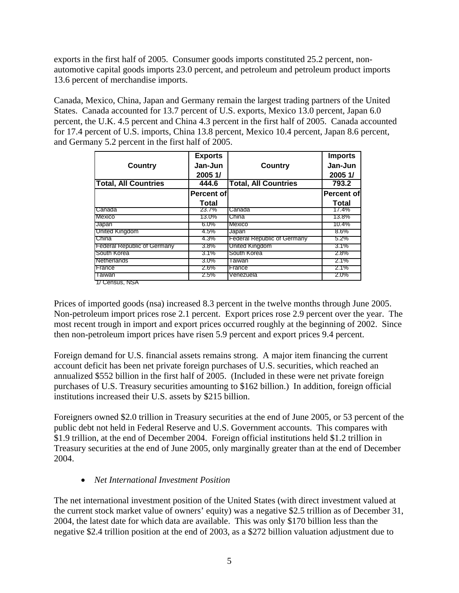exports in the first half of 2005. Consumer goods imports constituted 25.2 percent, nonautomotive capital goods imports 23.0 percent, and petroleum and petroleum product imports 13.6 percent of merchandise imports.

Canada, Mexico, China, Japan and Germany remain the largest trading partners of the United States. Canada accounted for 13.7 percent of U.S. exports, Mexico 13.0 percent, Japan 6.0 percent, the U.K. 4.5 percent and China 4.3 percent in the first half of 2005. Canada accounted for 17.4 percent of U.S. imports, China 13.8 percent, Mexico 10.4 percent, Japan 8.6 percent, and Germany 5.2 percent in the first half of 2005.

|                                    | <b>Exports</b>    |                                    | <b>Imports</b>    |
|------------------------------------|-------------------|------------------------------------|-------------------|
| <b>Country</b>                     | Jan-Jun           | <b>Country</b>                     | Jan-Jun           |
|                                    | 2005 1/           |                                    | 2005 1/           |
| <b>Total, All Countries</b>        | 444.6             | <b>Total, All Countries</b>        | 793.2             |
|                                    | <b>Percent of</b> |                                    | <b>Percent of</b> |
|                                    | <b>Total</b>      |                                    | <b>Total</b>      |
| Canada                             | 23.7%             | Canada                             | 17.4%             |
| Mexico                             | 13.0%             | China                              | 13.8%             |
| Japan                              | $6.0\%$           | Mexico                             | 10.4%             |
| United Kingdom                     | 4.5%              | Japan                              | $8.6\%$           |
| China                              | 4.3%              | <b>Federal Republic of Germany</b> | $5.2\%$           |
| <b>Federal Republic of Germany</b> | 3.8%              | United Kingdom                     | 3.1%              |
| South Korea                        | $3.1\%$           | South Korea                        | $2.8\%$           |
| Netherlands                        | $3.0\%$           | Taiwan                             | 2.1%              |
| France                             | 2.6%              | France                             | $2.1\%$           |
| Taiwan                             | 2.5%              | Venezuela                          | 2.0%              |

1/ Census, NSA

Prices of imported goods (nsa) increased 8.3 percent in the twelve months through June 2005. Non-petroleum import prices rose 2.1 percent. Export prices rose 2.9 percent over the year. The most recent trough in import and export prices occurred roughly at the beginning of 2002. Since then non-petroleum import prices have risen 5.9 percent and export prices 9.4 percent.

Foreign demand for U.S. financial assets remains strong. A major item financing the current account deficit has been net private foreign purchases of U.S. securities, which reached an annualized \$552 billion in the first half of 2005. (Included in these were net private foreign purchases of U.S. Treasury securities amounting to \$162 billion.) In addition, foreign official institutions increased their U.S. assets by \$215 billion.

Foreigners owned \$2.0 trillion in Treasury securities at the end of June 2005, or 53 percent of the public debt not held in Federal Reserve and U.S. Government accounts. This compares with \$1.9 trillion, at the end of December 2004. Foreign official institutions held \$1.2 trillion in Treasury securities at the end of June 2005, only marginally greater than at the end of December 2004.

## • *Net International Investment Position*

The net international investment position of the United States (with direct investment valued at the current stock market value of owners' equity) was a negative \$2.5 trillion as of December 31, 2004, the latest date for which data are available. This was only \$170 billion less than the negative \$2.4 trillion position at the end of 2003, as a \$272 billion valuation adjustment due to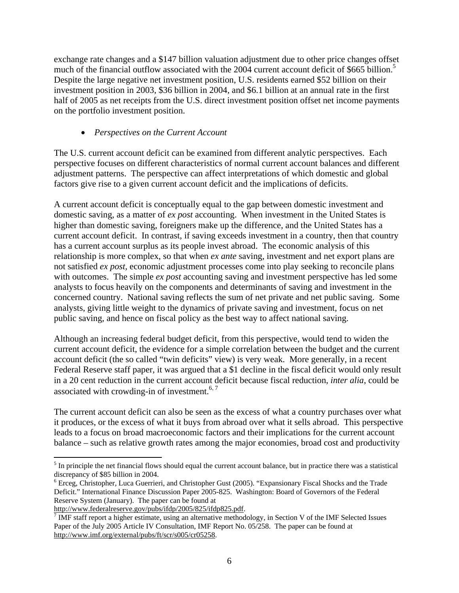exchange rate changes and a \$147 billion valuation adjustment due to other price changes offset much of the financial outflow associated with the 2004 current account deficit of \$665 billion.<sup>5</sup> Despite the large negative net investment position, U.S. residents earned \$52 billion on their investment position in 2003, \$36 billion in 2004, and \$6.1 billion at an annual rate in the first half of 2005 as net receipts from the U.S. direct investment position offset net income payments on the portfolio investment position.

## • *Perspectives on the Current Account*

The U.S. current account deficit can be examined from different analytic perspectives. Each perspective focuses on different characteristics of normal current account balances and different adjustment patterns. The perspective can affect interpretations of which domestic and global factors give rise to a given current account deficit and the implications of deficits.

A current account deficit is conceptually equal to the gap between domestic investment and domestic saving, as a matter of *ex post* accounting. When investment in the United States is higher than domestic saving, foreigners make up the difference, and the United States has a current account deficit. In contrast, if saving exceeds investment in a country, then that country has a current account surplus as its people invest abroad. The economic analysis of this relationship is more complex, so that when *ex ante* saving, investment and net export plans are not satisfied *ex post,* economic adjustment processes come into play seeking to reconcile plans with outcomes. The simple *ex post* accounting saving and investment perspective has led some analysts to focus heavily on the components and determinants of saving and investment in the concerned country. National saving reflects the sum of net private and net public saving. Some analysts, giving little weight to the dynamics of private saving and investment, focus on net public saving, and hence on fiscal policy as the best way to affect national saving.

Although an increasing federal budget deficit, from this perspective, would tend to widen the current account deficit, the evidence for a simple correlation between the budget and the current account deficit (the so called "twin deficits" view) is very weak. More generally, in a recent Federal Reserve staff paper, it was argued that a \$1 decline in the fiscal deficit would only result in a 20 cent reduction in the current account deficit because fiscal reduction, *inter alia*, could be associated with crowding-in of investment. $6, 7$ 

The current account deficit can also be seen as the excess of what a country purchases over what it produces, or the excess of what it buys from abroad over what it sells abroad. This perspective leads to a focus on broad macroeconomic factors and their implications for the current account balance – such as relative growth rates among the major economies, broad cost and productivity

http://www.federalreserve.gov/pubs/ifdp/2005/825/ifdp825.pdf.

<sup>1</sup>  $<sup>5</sup>$  In principle the net financial flows should equal the current account balance, but in practice there was a statistical</sup> discrepancy of \$85 billion in 2004.

<sup>&</sup>lt;sup>6</sup> Erceg, Christopher, Luca Guerrieri, and Christopher Gust (2005). "Expansionary Fiscal Shocks and the Trade Deficit." International Finance Discussion Paper 2005-825. Washington: Board of Governors of the Federal Reserve System (January). The paper can be found at

 $\frac{7}{1}$  IMF staff report a higher estimate, using an alternative methodology, in Section V of the IMF Selected Issues Paper of the July 2005 Article IV Consultation, IMF Report No. 05/258. The paper can be found at http://www.imf.org/external/pubs/ft/scr/s005/cr05258.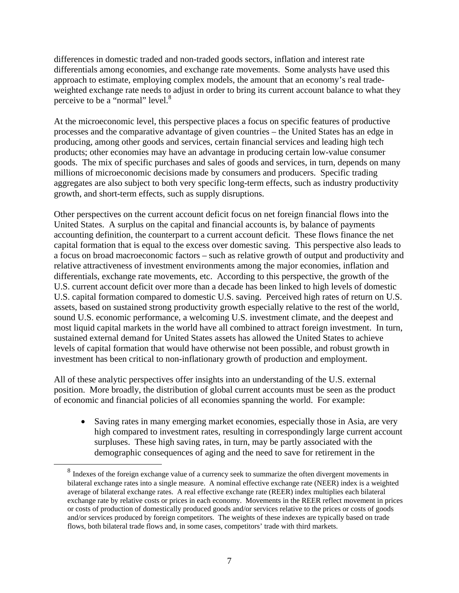differences in domestic traded and non-traded goods sectors, inflation and interest rate differentials among economies, and exchange rate movements. Some analysts have used this approach to estimate, employing complex models, the amount that an economy's real tradeweighted exchange rate needs to adjust in order to bring its current account balance to what they perceive to be a "normal" level.<sup>8</sup>

At the microeconomic level, this perspective places a focus on specific features of productive processes and the comparative advantage of given countries – the United States has an edge in producing, among other goods and services, certain financial services and leading high tech products; other economies may have an advantage in producing certain low-value consumer goods. The mix of specific purchases and sales of goods and services, in turn, depends on many millions of microeconomic decisions made by consumers and producers. Specific trading aggregates are also subject to both very specific long-term effects, such as industry productivity growth, and short-term effects, such as supply disruptions.

Other perspectives on the current account deficit focus on net foreign financial flows into the United States. A surplus on the capital and financial accounts is, by balance of payments accounting definition, the counterpart to a current account deficit. These flows finance the net capital formation that is equal to the excess over domestic saving. This perspective also leads to a focus on broad macroeconomic factors – such as relative growth of output and productivity and relative attractiveness of investment environments among the major economies, inflation and differentials, exchange rate movements, etc. According to this perspective, the growth of the U.S. current account deficit over more than a decade has been linked to high levels of domestic U.S. capital formation compared to domestic U.S. saving. Perceived high rates of return on U.S. assets, based on sustained strong productivity growth especially relative to the rest of the world, sound U.S. economic performance, a welcoming U.S. investment climate, and the deepest and most liquid capital markets in the world have all combined to attract foreign investment. In turn, sustained external demand for United States assets has allowed the United States to achieve levels of capital formation that would have otherwise not been possible, and robust growth in investment has been critical to non-inflationary growth of production and employment.

All of these analytic perspectives offer insights into an understanding of the U.S. external position. More broadly, the distribution of global current accounts must be seen as the product of economic and financial policies of all economies spanning the world. For example:

• Saving rates in many emerging market economies, especially those in Asia, are very high compared to investment rates, resulting in correspondingly large current account surpluses. These high saving rates, in turn, may be partly associated with the demographic consequences of aging and the need to save for retirement in the

<sup>&</sup>lt;sup>8</sup> Indexes of the foreign exchange value of a currency seek to summarize the often divergent movements in bilateral exchange rates into a single measure. A nominal effective exchange rate (NEER) index is a weighted average of bilateral exchange rates. A real effective exchange rate (REER) index multiplies each bilateral exchange rate by relative costs or prices in each economy. Movements in the REER reflect movement in prices or costs of production of domestically produced goods and/or services relative to the prices or costs of goods and/or services produced by foreign competitors. The weights of these indexes are typically based on trade flows, both bilateral trade flows and, in some cases, competitors' trade with third markets.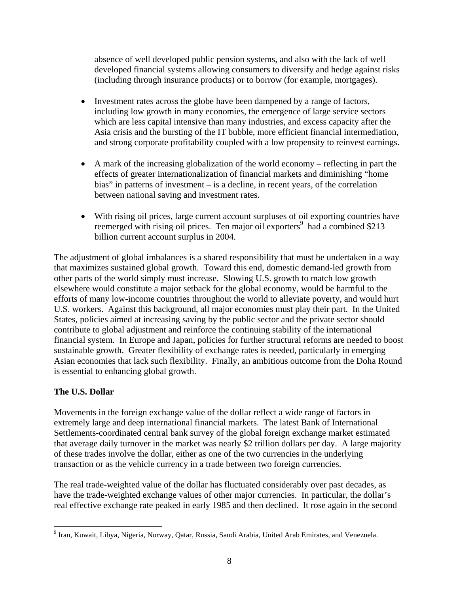absence of well developed public pension systems, and also with the lack of well developed financial systems allowing consumers to diversify and hedge against risks (including through insurance products) or to borrow (for example, mortgages).

- Investment rates across the globe have been dampened by a range of factors, including low growth in many economies, the emergence of large service sectors which are less capital intensive than many industries, and excess capacity after the Asia crisis and the bursting of the IT bubble, more efficient financial intermediation, and strong corporate profitability coupled with a low propensity to reinvest earnings.
- A mark of the increasing globalization of the world economy reflecting in part the effects of greater internationalization of financial markets and diminishing "home bias" in patterns of investment – is a decline, in recent years, of the correlation between national saving and investment rates.
- With rising oil prices, large current account surpluses of oil exporting countries have reemerged with rising oil prices. Ten major oil exporters<sup>9</sup> had a combined \$213 billion current account surplus in 2004.

The adjustment of global imbalances is a shared responsibility that must be undertaken in a way that maximizes sustained global growth. Toward this end, domestic demand-led growth from other parts of the world simply must increase. Slowing U.S. growth to match low growth elsewhere would constitute a major setback for the global economy, would be harmful to the efforts of many low-income countries throughout the world to alleviate poverty, and would hurt U.S. workers. Against this background, all major economies must play their part. In the United States, policies aimed at increasing saving by the public sector and the private sector should contribute to global adjustment and reinforce the continuing stability of the international financial system. In Europe and Japan, policies for further structural reforms are needed to boost sustainable growth. Greater flexibility of exchange rates is needed, particularly in emerging Asian economies that lack such flexibility. Finally, an ambitious outcome from the Doha Round is essential to enhancing global growth.

# **The U.S. Dollar**

<u>.</u>

Movements in the foreign exchange value of the dollar reflect a wide range of factors in extremely large and deep international financial markets. The latest Bank of International Settlements-coordinated central bank survey of the global foreign exchange market estimated that average daily turnover in the market was nearly \$2 trillion dollars per day. A large majority of these trades involve the dollar, either as one of the two currencies in the underlying transaction or as the vehicle currency in a trade between two foreign currencies.

The real trade-weighted value of the dollar has fluctuated considerably over past decades, as have the trade-weighted exchange values of other major currencies. In particular, the dollar's real effective exchange rate peaked in early 1985 and then declined. It rose again in the second

<sup>&</sup>lt;sup>9</sup> Iran, Kuwait, Libya, Nigeria, Norway, Qatar, Russia, Saudi Arabia, United Arab Emirates, and Venezuela.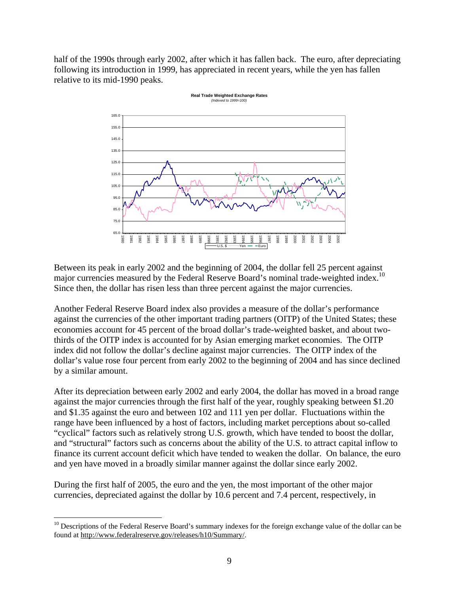half of the 1990s through early 2002, after which it has fallen back. The euro, after depreciating following its introduction in 1999, has appreciated in recent years, while the yen has fallen relative to its mid-1990 peaks.



Between its peak in early 2002 and the beginning of 2004, the dollar fell 25 percent against major currencies measured by the Federal Reserve Board's nominal trade-weighted index.<sup>10</sup> Since then, the dollar has risen less than three percent against the major currencies.

Another Federal Reserve Board index also provides a measure of the dollar's performance against the currencies of the other important trading partners (OITP) of the United States; these economies account for 45 percent of the broad dollar's trade-weighted basket, and about twothirds of the OITP index is accounted for by Asian emerging market economies. The OITP index did not follow the dollar's decline against major currencies. The OITP index of the dollar's value rose four percent from early 2002 to the beginning of 2004 and has since declined by a similar amount.

After its depreciation between early 2002 and early 2004, the dollar has moved in a broad range against the major currencies through the first half of the year, roughly speaking between \$1.20 and \$1.35 against the euro and between 102 and 111 yen per dollar. Fluctuations within the range have been influenced by a host of factors, including market perceptions about so-called "cyclical" factors such as relatively strong U.S. growth, which have tended to boost the dollar, and "structural" factors such as concerns about the ability of the U.S. to attract capital inflow to finance its current account deficit which have tended to weaken the dollar. On balance, the euro and yen have moved in a broadly similar manner against the dollar since early 2002.

During the first half of 2005, the euro and the yen, the most important of the other major currencies, depreciated against the dollar by 10.6 percent and 7.4 percent, respectively, in

<sup>&</sup>lt;sup>10</sup> Descriptions of the Federal Reserve Board's summary indexes for the foreign exchange value of the dollar can be found at http://www.federalreserve.gov/releases/h10/Summary/.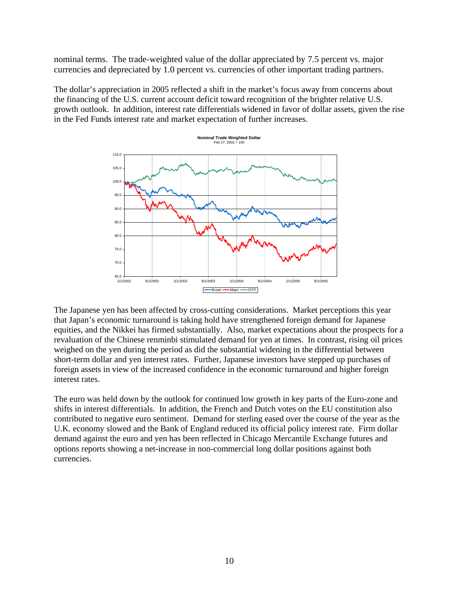nominal terms. The trade-weighted value of the dollar appreciated by 7.5 percent vs. major currencies and depreciated by 1.0 percent vs. currencies of other important trading partners.

The dollar's appreciation in 2005 reflected a shift in the market's focus away from concerns about the financing of the U.S. current account deficit toward recognition of the brighter relative U.S. growth outlook. In addition, interest rate differentials widened in favor of dollar assets, given the rise in the Fed Funds interest rate and market expectation of further increases.



The Japanese yen has been affected by cross-cutting considerations. Market perceptions this year that Japan's economic turnaround is taking hold have strengthened foreign demand for Japanese equities, and the Nikkei has firmed substantially. Also, market expectations about the prospects for a revaluation of the Chinese renminbi stimulated demand for yen at times. In contrast, rising oil prices weighed on the yen during the period as did the substantial widening in the differential between short-term dollar and yen interest rates. Further, Japanese investors have stepped up purchases of foreign assets in view of the increased confidence in the economic turnaround and higher foreign interest rates.

The euro was held down by the outlook for continued low growth in key parts of the Euro-zone and shifts in interest differentials. In addition, the French and Dutch votes on the EU constitution also contributed to negative euro sentiment. Demand for sterling eased over the course of the year as the U.K. economy slowed and the Bank of England reduced its official policy interest rate. Firm dollar demand against the euro and yen has been reflected in Chicago Mercantile Exchange futures and options reports showing a net-increase in non-commercial long dollar positions against both currencies.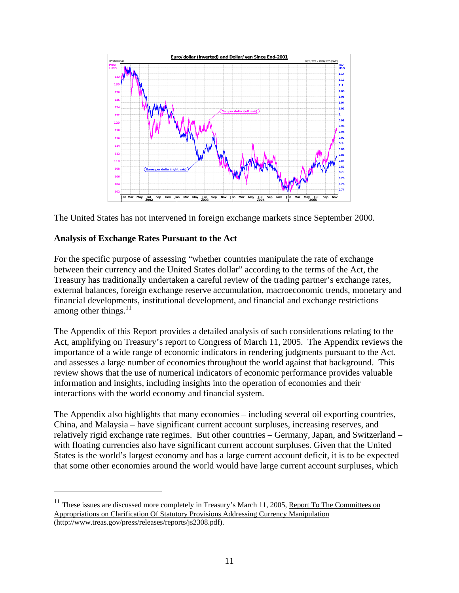



### **Analysis of Exchange Rates Pursuant to the Act**

 $\overline{a}$ 

For the specific purpose of assessing "whether countries manipulate the rate of exchange between their currency and the United States dollar" according to the terms of the Act, the Treasury has traditionally undertaken a careful review of the trading partner's exchange rates, external balances, foreign exchange reserve accumulation, macroeconomic trends, monetary and financial developments, institutional development, and financial and exchange restrictions among other things.<sup>11</sup>

The Appendix of this Report provides a detailed analysis of such considerations relating to the Act, amplifying on Treasury's report to Congress of March 11, 2005. The Appendix reviews the importance of a wide range of economic indicators in rendering judgments pursuant to the Act. and assesses a large number of economies throughout the world against that background. This review shows that the use of numerical indicators of economic performance provides valuable information and insights, including insights into the operation of economies and their interactions with the world economy and financial system.

The Appendix also highlights that many economies – including several oil exporting countries, China, and Malaysia – have significant current account surpluses, increasing reserves, and relatively rigid exchange rate regimes. But other countries – Germany, Japan, and Switzerland – with floating currencies also have significant current account surpluses. Given that the United States is the world's largest economy and has a large current account deficit, it is to be expected that some other economies around the world would have large current account surpluses, which

<sup>&</sup>lt;sup>11</sup> These issues are discussed more completely in Treasury's March 11, 2005, Report To The Committees on Appropriations on Clarification Of Statutory Provisions Addressing Currency Manipulation (http://www.treas.gov/press/releases/reports/js2308.pdf).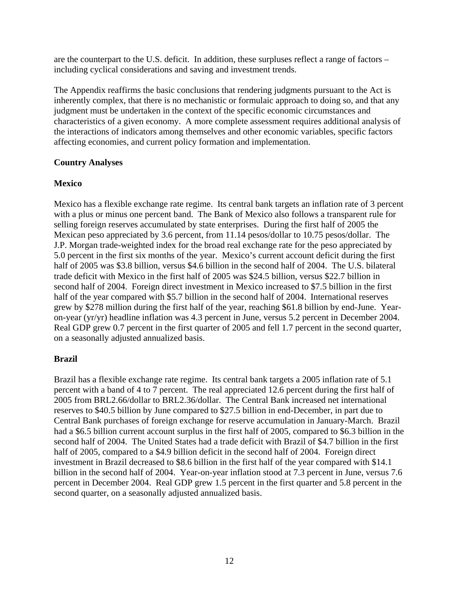are the counterpart to the U.S. deficit. In addition, these surpluses reflect a range of factors – including cyclical considerations and saving and investment trends.

The Appendix reaffirms the basic conclusions that rendering judgments pursuant to the Act is inherently complex, that there is no mechanistic or formulaic approach to doing so, and that any judgment must be undertaken in the context of the specific economic circumstances and characteristics of a given economy. A more complete assessment requires additional analysis of the interactions of indicators among themselves and other economic variables, specific factors affecting economies, and current policy formation and implementation.

## **Country Analyses**

# **Mexico**

Mexico has a flexible exchange rate regime. Its central bank targets an inflation rate of 3 percent with a plus or minus one percent band. The Bank of Mexico also follows a transparent rule for selling foreign reserves accumulated by state enterprises. During the first half of 2005 the Mexican peso appreciated by 3.6 percent, from 11.14 pesos/dollar to 10.75 pesos/dollar. The J.P. Morgan trade-weighted index for the broad real exchange rate for the peso appreciated by 5.0 percent in the first six months of the year. Mexico's current account deficit during the first half of 2005 was \$3.8 billion, versus \$4.6 billion in the second half of 2004. The U.S. bilateral trade deficit with Mexico in the first half of 2005 was \$24.5 billion, versus \$22.7 billion in second half of 2004. Foreign direct investment in Mexico increased to \$7.5 billion in the first half of the year compared with \$5.7 billion in the second half of 2004. International reserves grew by \$278 million during the first half of the year, reaching \$61.8 billion by end-June. Yearon-year (yr/yr) headline inflation was 4.3 percent in June, versus 5.2 percent in December 2004. Real GDP grew 0.7 percent in the first quarter of 2005 and fell 1.7 percent in the second quarter, on a seasonally adjusted annualized basis.

# **Brazil**

Brazil has a flexible exchange rate regime. Its central bank targets a 2005 inflation rate of 5.1 percent with a band of 4 to 7 percent. The real appreciated 12.6 percent during the first half of 2005 from BRL2.66/dollar to BRL2.36/dollar. The Central Bank increased net international reserves to \$40.5 billion by June compared to \$27.5 billion in end-December, in part due to Central Bank purchases of foreign exchange for reserve accumulation in January-March. Brazil had a \$6.5 billion current account surplus in the first half of 2005, compared to \$6.3 billion in the second half of 2004. The United States had a trade deficit with Brazil of \$4.7 billion in the first half of 2005, compared to a \$4.9 billion deficit in the second half of 2004. Foreign direct investment in Brazil decreased to \$8.6 billion in the first half of the year compared with \$14.1 billion in the second half of 2004. Year-on-year inflation stood at 7.3 percent in June, versus 7.6 percent in December 2004. Real GDP grew 1.5 percent in the first quarter and 5.8 percent in the second quarter, on a seasonally adjusted annualized basis.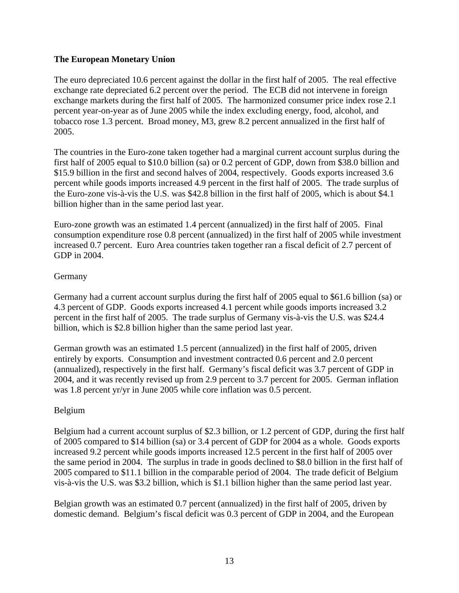### **The European Monetary Union**

The euro depreciated 10.6 percent against the dollar in the first half of 2005. The real effective exchange rate depreciated 6.2 percent over the period. The ECB did not intervene in foreign exchange markets during the first half of 2005. The harmonized consumer price index rose 2.1 percent year-on-year as of June 2005 while the index excluding energy, food, alcohol, and tobacco rose 1.3 percent. Broad money, M3, grew 8.2 percent annualized in the first half of 2005.

The countries in the Euro-zone taken together had a marginal current account surplus during the first half of 2005 equal to \$10.0 billion (sa) or 0.2 percent of GDP, down from \$38.0 billion and \$15.9 billion in the first and second halves of 2004, respectively. Goods exports increased 3.6 percent while goods imports increased 4.9 percent in the first half of 2005. The trade surplus of the Euro-zone vis-à-vis the U.S. was \$42.8 billion in the first half of 2005, which is about \$4.1 billion higher than in the same period last year.

Euro-zone growth was an estimated 1.4 percent (annualized) in the first half of 2005. Final consumption expenditure rose 0.8 percent (annualized) in the first half of 2005 while investment increased 0.7 percent. Euro Area countries taken together ran a fiscal deficit of 2.7 percent of GDP in 2004.

### **Germany**

Germany had a current account surplus during the first half of 2005 equal to \$61.6 billion (sa) or 4.3 percent of GDP. Goods exports increased 4.1 percent while goods imports increased 3.2 percent in the first half of 2005. The trade surplus of Germany vis-à-vis the U.S. was \$24.4 billion, which is \$2.8 billion higher than the same period last year.

German growth was an estimated 1.5 percent (annualized) in the first half of 2005, driven entirely by exports. Consumption and investment contracted 0.6 percent and 2.0 percent (annualized), respectively in the first half. Germany's fiscal deficit was 3.7 percent of GDP in 2004, and it was recently revised up from 2.9 percent to 3.7 percent for 2005. German inflation was 1.8 percent yr/yr in June 2005 while core inflation was 0.5 percent.

#### Belgium

Belgium had a current account surplus of \$2.3 billion, or 1.2 percent of GDP, during the first half of 2005 compared to \$14 billion (sa) or 3.4 percent of GDP for 2004 as a whole. Goods exports increased 9.2 percent while goods imports increased 12.5 percent in the first half of 2005 over the same period in 2004. The surplus in trade in goods declined to \$8.0 billion in the first half of 2005 compared to \$11.1 billion in the comparable period of 2004. The trade deficit of Belgium vis-à-vis the U.S. was \$3.2 billion, which is \$1.1 billion higher than the same period last year.

Belgian growth was an estimated 0.7 percent (annualized) in the first half of 2005, driven by domestic demand. Belgium's fiscal deficit was 0.3 percent of GDP in 2004, and the European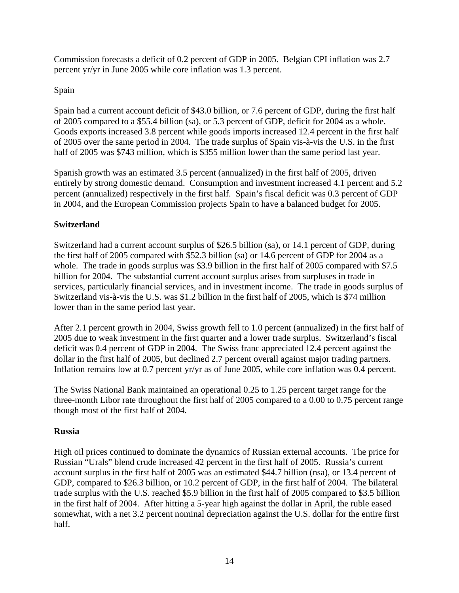Commission forecasts a deficit of 0.2 percent of GDP in 2005. Belgian CPI inflation was 2.7 percent yr/yr in June 2005 while core inflation was 1.3 percent.

# Spain

Spain had a current account deficit of \$43.0 billion, or 7.6 percent of GDP, during the first half of 2005 compared to a \$55.4 billion (sa), or 5.3 percent of GDP, deficit for 2004 as a whole. Goods exports increased 3.8 percent while goods imports increased 12.4 percent in the first half of 2005 over the same period in 2004. The trade surplus of Spain vis-à-vis the U.S. in the first half of 2005 was \$743 million, which is \$355 million lower than the same period last year.

Spanish growth was an estimated 3.5 percent (annualized) in the first half of 2005, driven entirely by strong domestic demand. Consumption and investment increased 4.1 percent and 5.2 percent (annualized) respectively in the first half. Spain's fiscal deficit was 0.3 percent of GDP in 2004, and the European Commission projects Spain to have a balanced budget for 2005.

# **Switzerland**

Switzerland had a current account surplus of \$26.5 billion (sa), or 14.1 percent of GDP, during the first half of 2005 compared with \$52.3 billion (sa) or 14.6 percent of GDP for 2004 as a whole. The trade in goods surplus was \$3.9 billion in the first half of 2005 compared with \$7.5 billion for 2004. The substantial current account surplus arises from surpluses in trade in services, particularly financial services, and in investment income. The trade in goods surplus of Switzerland vis-à-vis the U.S. was \$1.2 billion in the first half of 2005, which is \$74 million lower than in the same period last year.

After 2.1 percent growth in 2004, Swiss growth fell to 1.0 percent (annualized) in the first half of 2005 due to weak investment in the first quarter and a lower trade surplus. Switzerland's fiscal deficit was 0.4 percent of GDP in 2004. The Swiss franc appreciated 12.4 percent against the dollar in the first half of 2005, but declined 2.7 percent overall against major trading partners. Inflation remains low at 0.7 percent yr/yr as of June 2005, while core inflation was 0.4 percent.

The Swiss National Bank maintained an operational 0.25 to 1.25 percent target range for the three-month Libor rate throughout the first half of 2005 compared to a 0.00 to 0.75 percent range though most of the first half of 2004.

## **Russia**

High oil prices continued to dominate the dynamics of Russian external accounts. The price for Russian "Urals" blend crude increased 42 percent in the first half of 2005. Russia's current account surplus in the first half of 2005 was an estimated \$44.7 billion (nsa), or 13.4 percent of GDP, compared to \$26.3 billion, or 10.2 percent of GDP, in the first half of 2004. The bilateral trade surplus with the U.S. reached \$5.9 billion in the first half of 2005 compared to \$3.5 billion in the first half of 2004. After hitting a 5-year high against the dollar in April, the ruble eased somewhat, with a net 3.2 percent nominal depreciation against the U.S. dollar for the entire first half.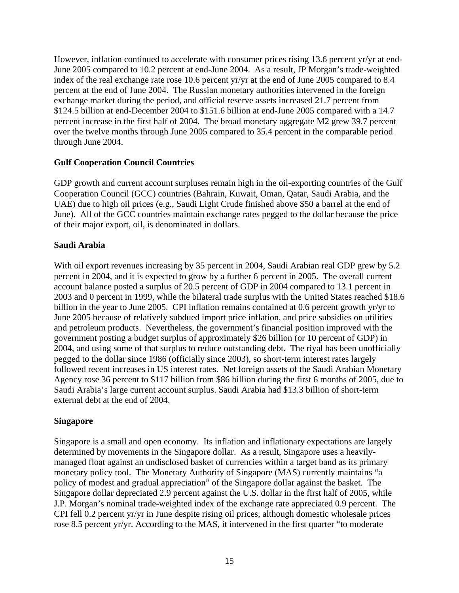However, inflation continued to accelerate with consumer prices rising 13.6 percent yr/yr at end-June 2005 compared to 10.2 percent at end-June 2004. As a result, JP Morgan's trade-weighted index of the real exchange rate rose 10.6 percent yr/yr at the end of June 2005 compared to 8.4 percent at the end of June 2004. The Russian monetary authorities intervened in the foreign exchange market during the period, and official reserve assets increased 21.7 percent from \$124.5 billion at end-December 2004 to \$151.6 billion at end-June 2005 compared with a 14.7 percent increase in the first half of 2004. The broad monetary aggregate M2 grew 39.7 percent over the twelve months through June 2005 compared to 35.4 percent in the comparable period through June 2004.

## **Gulf Cooperation Council Countries**

GDP growth and current account surpluses remain high in the oil-exporting countries of the Gulf Cooperation Council (GCC) countries (Bahrain, Kuwait, Oman, Qatar, Saudi Arabia, and the UAE) due to high oil prices (e.g., Saudi Light Crude finished above \$50 a barrel at the end of June). All of the GCC countries maintain exchange rates pegged to the dollar because the price of their major export, oil, is denominated in dollars.

### **Saudi Arabia**

With oil export revenues increasing by 35 percent in 2004, Saudi Arabian real GDP grew by 5.2 percent in 2004, and it is expected to grow by a further 6 percent in 2005. The overall current account balance posted a surplus of 20.5 percent of GDP in 2004 compared to 13.1 percent in 2003 and 0 percent in 1999, while the bilateral trade surplus with the United States reached \$18.6 billion in the year to June 2005. CPI inflation remains contained at 0.6 percent growth yr/yr to June 2005 because of relatively subdued import price inflation, and price subsidies on utilities and petroleum products. Nevertheless, the government's financial position improved with the government posting a budget surplus of approximately \$26 billion (or 10 percent of GDP) in 2004, and using some of that surplus to reduce outstanding debt. The riyal has been unofficially pegged to the dollar since 1986 (officially since 2003), so short-term interest rates largely followed recent increases in US interest rates. Net foreign assets of the Saudi Arabian Monetary Agency rose 36 percent to \$117 billion from \$86 billion during the first 6 months of 2005, due to Saudi Arabia's large current account surplus. Saudi Arabia had \$13.3 billion of short-term external debt at the end of 2004.

#### **Singapore**

Singapore is a small and open economy. Its inflation and inflationary expectations are largely determined by movements in the Singapore dollar. As a result, Singapore uses a heavilymanaged float against an undisclosed basket of currencies within a target band as its primary monetary policy tool. The Monetary Authority of Singapore (MAS) currently maintains "a policy of modest and gradual appreciation" of the Singapore dollar against the basket. The Singapore dollar depreciated 2.9 percent against the U.S. dollar in the first half of 2005, while J.P. Morgan's nominal trade-weighted index of the exchange rate appreciated 0.9 percent. The CPI fell 0.2 percent yr/yr in June despite rising oil prices, although domestic wholesale prices rose 8.5 percent yr/yr. According to the MAS, it intervened in the first quarter "to moderate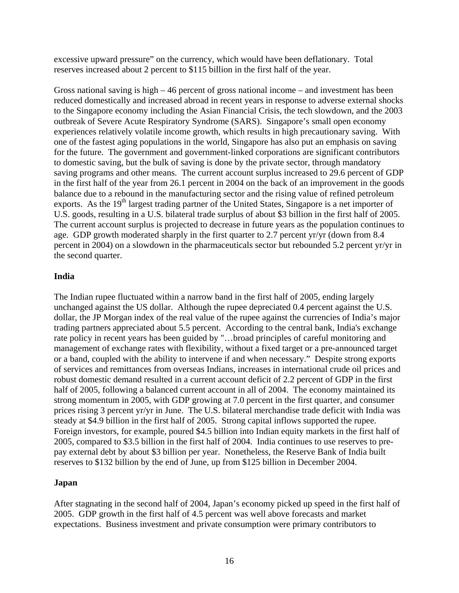excessive upward pressure" on the currency, which would have been deflationary. Total reserves increased about 2 percent to \$115 billion in the first half of the year.

Gross national saving is high – 46 percent of gross national income – and investment has been reduced domestically and increased abroad in recent years in response to adverse external shocks to the Singapore economy including the Asian Financial Crisis, the tech slowdown, and the 2003 outbreak of Severe Acute Respiratory Syndrome (SARS). Singapore's small open economy experiences relatively volatile income growth, which results in high precautionary saving. With one of the fastest aging populations in the world, Singapore has also put an emphasis on saving for the future. The government and government-linked corporations are significant contributors to domestic saving, but the bulk of saving is done by the private sector, through mandatory saving programs and other means. The current account surplus increased to 29.6 percent of GDP in the first half of the year from 26.1 percent in 2004 on the back of an improvement in the goods balance due to a rebound in the manufacturing sector and the rising value of refined petroleum exports. As the 19<sup>th</sup> largest trading partner of the United States, Singapore is a net importer of U.S. goods, resulting in a U.S. bilateral trade surplus of about \$3 billion in the first half of 2005. The current account surplus is projected to decrease in future years as the population continues to age. GDP growth moderated sharply in the first quarter to 2.7 percent yr/yr (down from 8.4 percent in 2004) on a slowdown in the pharmaceuticals sector but rebounded 5.2 percent yr/yr in the second quarter.

## **India**

The Indian rupee fluctuated within a narrow band in the first half of 2005, ending largely unchanged against the US dollar. Although the rupee depreciated 0.4 percent against the U.S. dollar, the JP Morgan index of the real value of the rupee against the currencies of India's major trading partners appreciated about 5.5 percent. According to the central bank, India's exchange rate policy in recent years has been guided by "…broad principles of careful monitoring and management of exchange rates with flexibility, without a fixed target or a pre-announced target or a band, coupled with the ability to intervene if and when necessary." Despite strong exports of services and remittances from overseas Indians, increases in international crude oil prices and robust domestic demand resulted in a current account deficit of 2.2 percent of GDP in the first half of 2005, following a balanced current account in all of 2004. The economy maintained its strong momentum in 2005, with GDP growing at 7.0 percent in the first quarter, and consumer prices rising 3 percent yr/yr in June. The U.S. bilateral merchandise trade deficit with India was steady at \$4.9 billion in the first half of 2005. Strong capital inflows supported the rupee. Foreign investors, for example, poured \$4.5 billion into Indian equity markets in the first half of 2005, compared to \$3.5 billion in the first half of 2004. India continues to use reserves to prepay external debt by about \$3 billion per year. Nonetheless, the Reserve Bank of India built reserves to \$132 billion by the end of June, up from \$125 billion in December 2004.

#### **Japan**

After stagnating in the second half of 2004, Japan's economy picked up speed in the first half of 2005. GDP growth in the first half of 4.5 percent was well above forecasts and market expectations. Business investment and private consumption were primary contributors to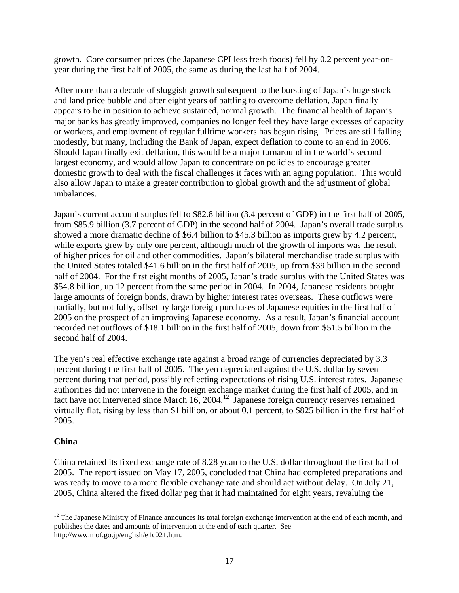growth. Core consumer prices (the Japanese CPI less fresh foods) fell by 0.2 percent year-onyear during the first half of 2005, the same as during the last half of 2004.

After more than a decade of sluggish growth subsequent to the bursting of Japan's huge stock and land price bubble and after eight years of battling to overcome deflation, Japan finally appears to be in position to achieve sustained, normal growth. The financial health of Japan's major banks has greatly improved, companies no longer feel they have large excesses of capacity or workers, and employment of regular fulltime workers has begun rising. Prices are still falling modestly, but many, including the Bank of Japan, expect deflation to come to an end in 2006. Should Japan finally exit deflation, this would be a major turnaround in the world's second largest economy, and would allow Japan to concentrate on policies to encourage greater domestic growth to deal with the fiscal challenges it faces with an aging population. This would also allow Japan to make a greater contribution to global growth and the adjustment of global imbalances.

Japan's current account surplus fell to \$82.8 billion (3.4 percent of GDP) in the first half of 2005, from \$85.9 billion (3.7 percent of GDP) in the second half of 2004. Japan's overall trade surplus showed a more dramatic decline of \$6.4 billion to \$45.3 billion as imports grew by 4.2 percent, while exports grew by only one percent, although much of the growth of imports was the result of higher prices for oil and other commodities. Japan's bilateral merchandise trade surplus with the United States totaled \$41.6 billion in the first half of 2005, up from \$39 billion in the second half of 2004. For the first eight months of 2005, Japan's trade surplus with the United States was \$54.8 billion, up 12 percent from the same period in 2004. In 2004, Japanese residents bought large amounts of foreign bonds, drawn by higher interest rates overseas. These outflows were partially, but not fully, offset by large foreign purchases of Japanese equities in the first half of 2005 on the prospect of an improving Japanese economy. As a result, Japan's financial account recorded net outflows of \$18.1 billion in the first half of 2005, down from \$51.5 billion in the second half of 2004.

The yen's real effective exchange rate against a broad range of currencies depreciated by 3.3 percent during the first half of 2005. The yen depreciated against the U.S. dollar by seven percent during that period, possibly reflecting expectations of rising U.S. interest rates. Japanese authorities did not intervene in the foreign exchange market during the first half of 2005, and in fact have not intervened since March 16, 2004.<sup>12</sup> Japanese foreign currency reserves remained virtually flat, rising by less than \$1 billion, or about 0.1 percent, to \$825 billion in the first half of 2005.

## **China**

China retained its fixed exchange rate of 8.28 yuan to the U.S. dollar throughout the first half of 2005. The report issued on May 17, 2005, concluded that China had completed preparations and was ready to move to a more flexible exchange rate and should act without delay. On July 21, 2005, China altered the fixed dollar peg that it had maintained for eight years, revaluing the

 $\overline{a}$ <sup>12</sup> The Japanese Ministry of Finance announces its total foreign exchange intervention at the end of each month, and publishes the dates and amounts of intervention at the end of each quarter. See http://www.mof.go.jp/english/e1c021.htm.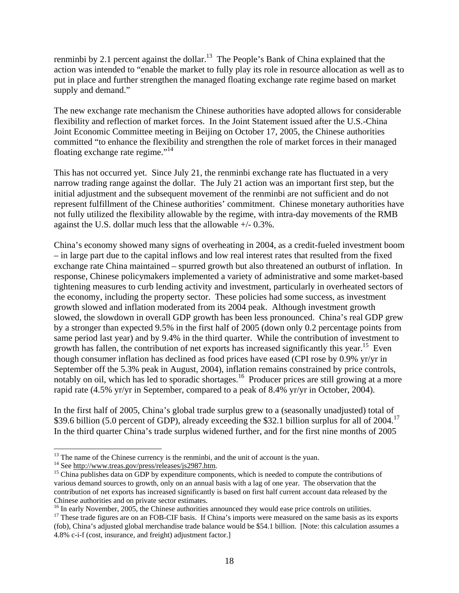renminbi by 2.1 percent against the dollar.<sup>13</sup> The People's Bank of China explained that the action was intended to "enable the market to fully play its role in resource allocation as well as to put in place and further strengthen the managed floating exchange rate regime based on market supply and demand."

The new exchange rate mechanism the Chinese authorities have adopted allows for considerable flexibility and reflection of market forces. In the Joint Statement issued after the U.S.-China Joint Economic Committee meeting in Beijing on October 17, 2005, the Chinese authorities committed "to enhance the flexibility and strengthen the role of market forces in their managed floating exchange rate regime."<sup>14</sup>

This has not occurred yet. Since July 21, the renminbi exchange rate has fluctuated in a very narrow trading range against the dollar. The July 21 action was an important first step, but the initial adjustment and the subsequent movement of the renminbi are not sufficient and do not represent fulfillment of the Chinese authorities' commitment. Chinese monetary authorities have not fully utilized the flexibility allowable by the regime, with intra-day movements of the RMB against the U.S. dollar much less that the allowable +/- 0.3%.

China's economy showed many signs of overheating in 2004, as a credit-fueled investment boom – in large part due to the capital inflows and low real interest rates that resulted from the fixed exchange rate China maintained – spurred growth but also threatened an outburst of inflation. In response, Chinese policymakers implemented a variety of administrative and some market-based tightening measures to curb lending activity and investment, particularly in overheated sectors of the economy, including the property sector. These policies had some success, as investment growth slowed and inflation moderated from its 2004 peak. Although investment growth slowed, the slowdown in overall GDP growth has been less pronounced. China's real GDP grew by a stronger than expected 9.5% in the first half of 2005 (down only 0.2 percentage points from same period last year) and by 9.4% in the third quarter. While the contribution of investment to growth has fallen, the contribution of net exports has increased significantly this year.<sup>15</sup> Even though consumer inflation has declined as food prices have eased (CPI rose by 0.9% yr/yr in September off the 5.3% peak in August, 2004), inflation remains constrained by price controls, notably on oil, which has led to sporadic shortages.<sup>16</sup> Producer prices are still growing at a more rapid rate (4.5% yr/yr in September, compared to a peak of 8.4% yr/yr in October, 2004).

In the first half of 2005, China's global trade surplus grew to a (seasonally unadjusted) total of \$39.6 billion (5.0 percent of GDP), already exceeding the \$32.1 billion surplus for all of 2004.<sup>17</sup> In the third quarter China's trade surplus widened further, and for the first nine months of 2005

<sup>&</sup>lt;sup>13</sup> The name of the Chinese currency is the renminbi, and the unit of account is the yuan.<br><sup>14</sup> See <u>http://www.treas.gov/press/releases/js2987.htm</u>.<br><sup>15</sup> China publishes data on GDP by expenditure components, which is n various demand sources to growth, only on an annual basis with a lag of one year. The observation that the contribution of net exports has increased significantly is based on first half current account data released by the Chinese authorities and on private sector estimates.<br><sup>16</sup> In early November, 2005, the Chinese authorities announced they would ease price controls on utilities.

 $17$  These trade figures are on an FOB-CIF basis. If China's imports were measured on the same basis as its exports (fob), China's adjusted global merchandise trade balance would be \$54.1 billion. [Note: this calculation assumes a 4.8% c-i-f (cost, insurance, and freight) adjustment factor.]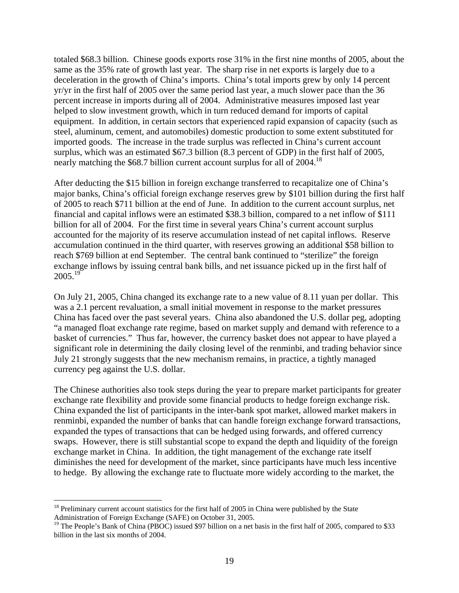totaled \$68.3 billion. Chinese goods exports rose 31% in the first nine months of 2005, about the same as the 35% rate of growth last year. The sharp rise in net exports is largely due to a deceleration in the growth of China's imports. China's total imports grew by only 14 percent yr/yr in the first half of 2005 over the same period last year, a much slower pace than the 36 percent increase in imports during all of 2004. Administrative measures imposed last year helped to slow investment growth, which in turn reduced demand for imports of capital equipment. In addition, in certain sectors that experienced rapid expansion of capacity (such as steel, aluminum, cement, and automobiles) domestic production to some extent substituted for imported goods. The increase in the trade surplus was reflected in China's current account surplus, which was an estimated \$67.3 billion (8.3 percent of GDP) in the first half of 2005, nearly matching the \$68.7 billion current account surplus for all of 2004.<sup>18</sup>

After deducting the \$15 billion in foreign exchange transferred to recapitalize one of China's major banks, China's official foreign exchange reserves grew by \$101 billion during the first half of 2005 to reach \$711 billion at the end of June. In addition to the current account surplus, net financial and capital inflows were an estimated \$38.3 billion, compared to a net inflow of \$111 billion for all of 2004. For the first time in several years China's current account surplus accounted for the majority of its reserve accumulation instead of net capital inflows. Reserve accumulation continued in the third quarter, with reserves growing an additional \$58 billion to reach \$769 billion at end September. The central bank continued to "sterilize" the foreign exchange inflows by issuing central bank bills, and net issuance picked up in the first half of  $2005.<sup>19</sup>$ 

On July 21, 2005, China changed its exchange rate to a new value of 8.11 yuan per dollar. This was a 2.1 percent revaluation, a small initial movement in response to the market pressures China has faced over the past several years. China also abandoned the U.S. dollar peg, adopting "a managed float exchange rate regime, based on market supply and demand with reference to a basket of currencies." Thus far, however, the currency basket does not appear to have played a significant role in determining the daily closing level of the renminbi, and trading behavior since July 21 strongly suggests that the new mechanism remains, in practice, a tightly managed currency peg against the U.S. dollar.

The Chinese authorities also took steps during the year to prepare market participants for greater exchange rate flexibility and provide some financial products to hedge foreign exchange risk. China expanded the list of participants in the inter-bank spot market, allowed market makers in renminbi, expanded the number of banks that can handle foreign exchange forward transactions, expanded the types of transactions that can be hedged using forwards, and offered currency swaps. However, there is still substantial scope to expand the depth and liquidity of the foreign exchange market in China. In addition, the tight management of the exchange rate itself diminishes the need for development of the market, since participants have much less incentive to hedge. By allowing the exchange rate to fluctuate more widely according to the market, the

 $18$  Preliminary current account statistics for the first half of 2005 in China were published by the State Administration of Foreign Exchange (SAFE) on October 31, 2005.

<sup>&</sup>lt;sup>19</sup> The People's Bank of China (PBOC) issued \$97 billion on a net basis in the first half of 2005, compared to \$33 billion in the last six months of 2004.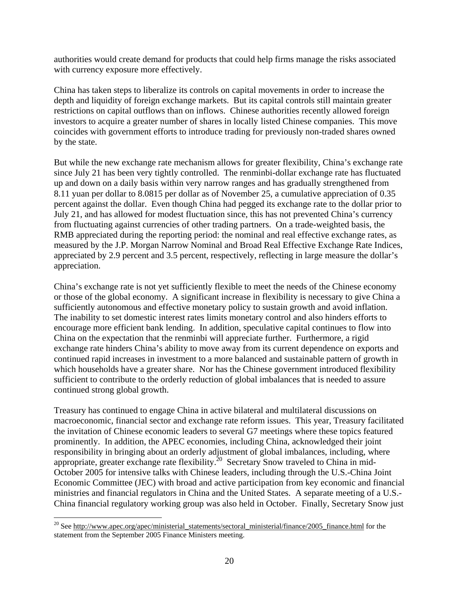authorities would create demand for products that could help firms manage the risks associated with currency exposure more effectively.

China has taken steps to liberalize its controls on capital movements in order to increase the depth and liquidity of foreign exchange markets. But its capital controls still maintain greater restrictions on capital outflows than on inflows. Chinese authorities recently allowed foreign investors to acquire a greater number of shares in locally listed Chinese companies. This move coincides with government efforts to introduce trading for previously non-traded shares owned by the state.

But while the new exchange rate mechanism allows for greater flexibility, China's exchange rate since July 21 has been very tightly controlled. The renminbi-dollar exchange rate has fluctuated up and down on a daily basis within very narrow ranges and has gradually strengthened from 8.11 yuan per dollar to 8.0815 per dollar as of November 25, a cumulative appreciation of 0.35 percent against the dollar. Even though China had pegged its exchange rate to the dollar prior to July 21, and has allowed for modest fluctuation since, this has not prevented China's currency from fluctuating against currencies of other trading partners. On a trade-weighted basis, the RMB appreciated during the reporting period: the nominal and real effective exchange rates, as measured by the J.P. Morgan Narrow Nominal and Broad Real Effective Exchange Rate Indices, appreciated by 2.9 percent and 3.5 percent, respectively, reflecting in large measure the dollar's appreciation.

China's exchange rate is not yet sufficiently flexible to meet the needs of the Chinese economy or those of the global economy. A significant increase in flexibility is necessary to give China a sufficiently autonomous and effective monetary policy to sustain growth and avoid inflation. The inability to set domestic interest rates limits monetary control and also hinders efforts to encourage more efficient bank lending. In addition, speculative capital continues to flow into China on the expectation that the renminbi will appreciate further. Furthermore, a rigid exchange rate hinders China's ability to move away from its current dependence on exports and continued rapid increases in investment to a more balanced and sustainable pattern of growth in which households have a greater share. Nor has the Chinese government introduced flexibility sufficient to contribute to the orderly reduction of global imbalances that is needed to assure continued strong global growth.

Treasury has continued to engage China in active bilateral and multilateral discussions on macroeconomic, financial sector and exchange rate reform issues. This year, Treasury facilitated the invitation of Chinese economic leaders to several G7 meetings where these topics featured prominently. In addition, the APEC economies, including China, acknowledged their joint responsibility in bringing about an orderly adjustment of global imbalances, including, where appropriate, greater exchange rate flexibility.<sup>20</sup> Secretary Snow traveled to China in mid-October 2005 for intensive talks with Chinese leaders, including through the U.S.-China Joint Economic Committee (JEC) with broad and active participation from key economic and financial ministries and financial regulators in China and the United States. A separate meeting of a U.S.- China financial regulatory working group was also held in October. Finally, Secretary Snow just

<sup>&</sup>lt;sup>20</sup> See http://www.apec.org/apec/ministerial\_statements/sectoral\_ministerial/finance/2005\_finance.html for the statement from the September 2005 Finance Ministers meeting.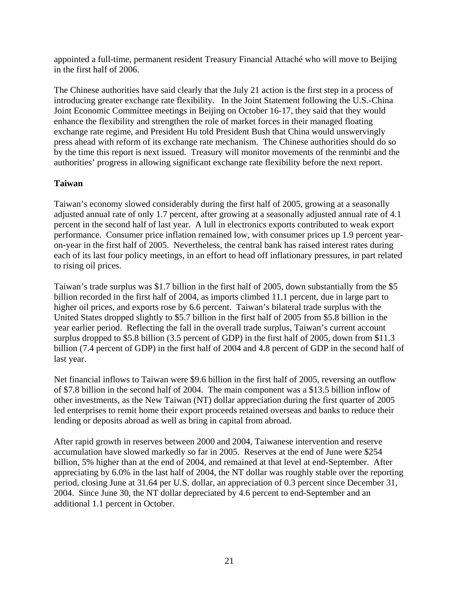appointed a full-time, permanent resident Treasury Financial Attaché who will move to Beijing in the first half of 2006.

The Chinese authorities have said clearly that the July 21 action is the first step in a process of introducing greater exchange rate flexibility. In the Joint Statement following the U.S.-China Joint Economic Committee meetings in Beijing on October 16-17, they said that they would enhance the flexibility and strengthen the role of market forces in their managed floating exchange rate regime, and President Hu told President Bush that China would unswervingly press ahead with reform of its exchange rate mechanism. The Chinese authorities should do so by the time this report is next issued. Treasury will monitor movements of the renminbi and the authorities' progress in allowing significant exchange rate flexibility before the next report.

## **Taiwan**

Taiwan's economy slowed considerably during the first half of 2005, growing at a seasonally adjusted annual rate of only 1.7 percent, after growing at a seasonally adjusted annual rate of 4.1 percent in the second half of last year. A lull in electronics exports contributed to weak export performance. Consumer price inflation remained low, with consumer prices up 1.9 percent yearon-year in the first half of 2005. Nevertheless, the central bank has raised interest rates during each of its last four policy meetings, in an effort to head off inflationary pressures, in part related to rising oil prices.

Taiwan's trade surplus was \$1.7 billion in the first half of 2005, down substantially from the \$5 billion recorded in the first half of 2004, as imports climbed 11.1 percent, due in large part to higher oil prices, and exports rose by 6.6 percent. Taiwan's bilateral trade surplus with the United States dropped slightly to \$5.7 billion in the first half of 2005 from \$5.8 billion in the year earlier period. Reflecting the fall in the overall trade surplus, Taiwan's current account surplus dropped to \$5.8 billion (3.5 percent of GDP) in the first half of 2005, down from \$11.3 billion (7.4 percent of GDP) in the first half of 2004 and 4.8 percent of GDP in the second half of last year.

Net financial inflows to Taiwan were \$9.6 billion in the first half of 2005, reversing an outflow of \$7.8 billion in the second half of 2004. The main component was a \$13.5 billion inflow of other investments, as the New Taiwan (NT) dollar appreciation during the first quarter of 2005 led enterprises to remit home their export proceeds retained overseas and banks to reduce their lending or deposits abroad as well as bring in capital from abroad.

After rapid growth in reserves between 2000 and 2004, Taiwanese intervention and reserve accumulation have slowed markedly so far in 2005. Reserves at the end of June were \$254 billion, 5% higher than at the end of 2004, and remained at that level at end-September. After appreciating by 6.0% in the last half of 2004, the NT dollar was roughly stable over the reporting period, closing June at 31.64 per U.S. dollar, an appreciation of 0.3 percent since December 31, 2004. Since June 30, the NT dollar depreciated by 4.6 percent to end-September and an additional 1.1 percent in October.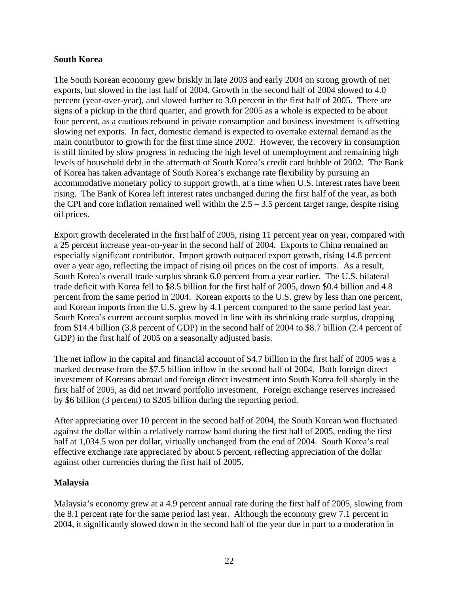### **South Korea**

The South Korean economy grew briskly in late 2003 and early 2004 on strong growth of net exports, but slowed in the last half of 2004. Growth in the second half of 2004 slowed to 4.0 percent (year-over-year), and slowed further to 3.0 percent in the first half of 2005. There are signs of a pickup in the third quarter, and growth for 2005 as a whole is expected to be about four percent, as a cautious rebound in private consumption and business investment is offsetting slowing net exports. In fact, domestic demand is expected to overtake external demand as the main contributor to growth for the first time since 2002. However, the recovery in consumption is still limited by slow progress in reducing the high level of unemployment and remaining high levels of household debt in the aftermath of South Korea's credit card bubble of 2002. The Bank of Korea has taken advantage of South Korea's exchange rate flexibility by pursuing an accommodative monetary policy to support growth, at a time when U.S. interest rates have been rising. The Bank of Korea left interest rates unchanged during the first half of the year, as both the CPI and core inflation remained well within the  $2.5 - 3.5$  percent target range, despite rising oil prices.

Export growth decelerated in the first half of 2005, rising 11 percent year on year, compared with a 25 percent increase year-on-year in the second half of 2004. Exports to China remained an especially significant contributor. Import growth outpaced export growth, rising 14.8 percent over a year ago, reflecting the impact of rising oil prices on the cost of imports. As a result, South Korea's overall trade surplus shrank 6.0 percent from a year earlier. The U.S. bilateral trade deficit with Korea fell to \$8.5 billion for the first half of 2005, down \$0.4 billion and 4.8 percent from the same period in 2004. Korean exports to the U.S. grew by less than one percent, and Korean imports from the U.S. grew by 4.1 percent compared to the same period last year. South Korea's current account surplus moved in line with its shrinking trade surplus, dropping from \$14.4 billion (3.8 percent of GDP) in the second half of 2004 to \$8.7 billion (2.4 percent of GDP) in the first half of 2005 on a seasonally adjusted basis.

The net inflow in the capital and financial account of \$4.7 billion in the first half of 2005 was a marked decrease from the \$7.5 billion inflow in the second half of 2004. Both foreign direct investment of Koreans abroad and foreign direct investment into South Korea fell sharply in the first half of 2005, as did net inward portfolio investment. Foreign exchange reserves increased by \$6 billion (3 percent) to \$205 billion during the reporting period.

After appreciating over 10 percent in the second half of 2004, the South Korean won fluctuated against the dollar within a relatively narrow band during the first half of 2005, ending the first half at 1,034.5 won per dollar, virtually unchanged from the end of 2004. South Korea's real effective exchange rate appreciated by about 5 percent, reflecting appreciation of the dollar against other currencies during the first half of 2005.

## **Malaysia**

Malaysia's economy grew at a 4.9 percent annual rate during the first half of 2005, slowing from the 8.1 percent rate for the same period last year. Although the economy grew 7.1 percent in 2004, it significantly slowed down in the second half of the year due in part to a moderation in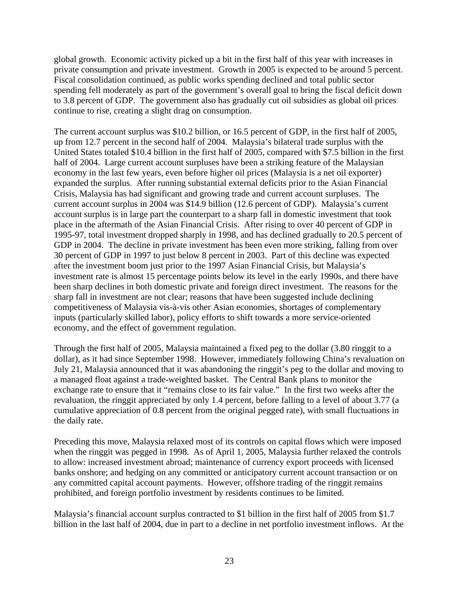global growth. Economic activity picked up a bit in the first half of this year with increases in private consumption and private investment. Growth in 2005 is expected to be around 5 percent. Fiscal consolidation continued, as public works spending declined and total public sector spending fell moderately as part of the government's overall goal to bring the fiscal deficit down to 3.8 percent of GDP. The government also has gradually cut oil subsidies as global oil prices continue to rise, creating a slight drag on consumption.

The current account surplus was \$10.2 billion, or 16.5 percent of GDP, in the first half of 2005, up from 12.7 percent in the second half of 2004. Malaysia's bilateral trade surplus with the United States totaled \$10.4 billion in the first half of 2005, compared with \$7.5 billion in the first half of 2004. Large current account surpluses have been a striking feature of the Malaysian economy in the last few years, even before higher oil prices (Malaysia is a net oil exporter) expanded the surplus. After running substantial external deficits prior to the Asian Financial Crisis, Malaysia has had significant and growing trade and current account surpluses. The current account surplus in 2004 was \$14.9 billion (12.6 percent of GDP). Malaysia's current account surplus is in large part the counterpart to a sharp fall in domestic investment that took place in the aftermath of the Asian Financial Crisis. After rising to over 40 percent of GDP in 1995-97, total investment dropped sharply in 1998, and has declined gradually to 20.5 percent of GDP in 2004. The decline in private investment has been even more striking, falling from over 30 percent of GDP in 1997 to just below 8 percent in 2003. Part of this decline was expected after the investment boom just prior to the 1997 Asian Financial Crisis, but Malaysia's investment rate is almost 15 percentage points below its level in the early 1990s, and there have been sharp declines in both domestic private and foreign direct investment. The reasons for the sharp fall in investment are not clear; reasons that have been suggested include declining competitiveness of Malaysia vis-à-vis other Asian economies, shortages of complementary inputs (particularly skilled labor), policy efforts to shift towards a more service-oriented economy, and the effect of government regulation.

Through the first half of 2005, Malaysia maintained a fixed peg to the dollar (3.80 ringgit to a dollar), as it had since September 1998. However, immediately following China's revaluation on July 21, Malaysia announced that it was abandoning the ringgit's peg to the dollar and moving to a managed float against a trade-weighted basket. The Central Bank plans to monitor the exchange rate to ensure that it "remains close to its fair value." In the first two weeks after the revaluation, the ringgit appreciated by only 1.4 percent, before falling to a level of about 3.77 (a cumulative appreciation of 0.8 percent from the original pegged rate), with small fluctuations in the daily rate.

Preceding this move, Malaysia relaxed most of its controls on capital flows which were imposed when the ringgit was pegged in 1998. As of April 1, 2005, Malaysia further relaxed the controls to allow: increased investment abroad; maintenance of currency export proceeds with licensed banks onshore; and hedging on any committed or anticipatory current account transaction or on any committed capital account payments. However, offshore trading of the ringgit remains prohibited, and foreign portfolio investment by residents continues to be limited.

Malaysia's financial account surplus contracted to \$1 billion in the first half of 2005 from \$1.7 billion in the last half of 2004, due in part to a decline in net portfolio investment inflows. At the